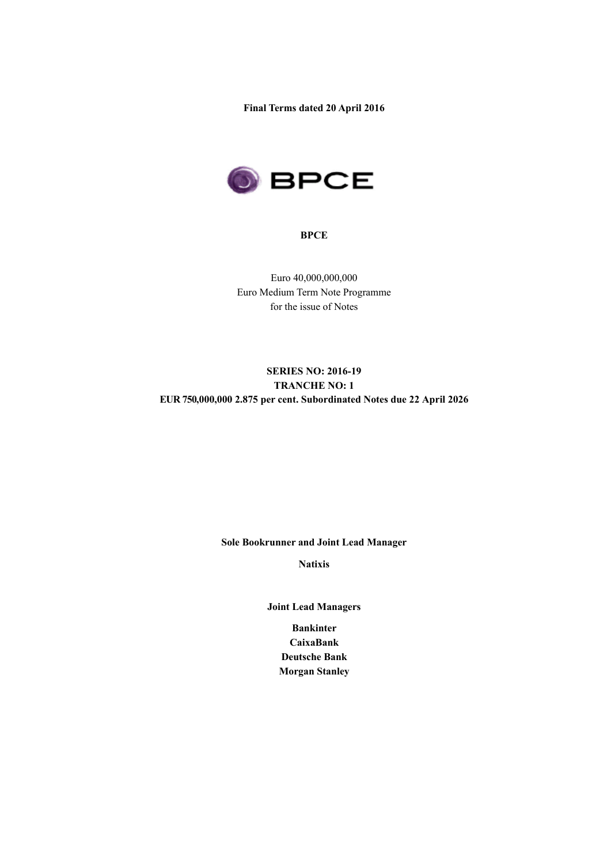**Final Terms dated 20 April 2016**



## **BPCE**

Euro 40,000,000,000 Euro Medium Term Note Programme for the issue of Notes

# **SERIES NO: 2016-19 TRANCHE NO: 1 EUR 750,000,000 2.875 per cent. Subordinated Notes due 22 April 2026**

**Sole Bookrunner and Joint Lead Manager**

**Natixis**

**Joint Lead Managers**

**Bankinter CaixaBank Deutsche Bank Morgan Stanley**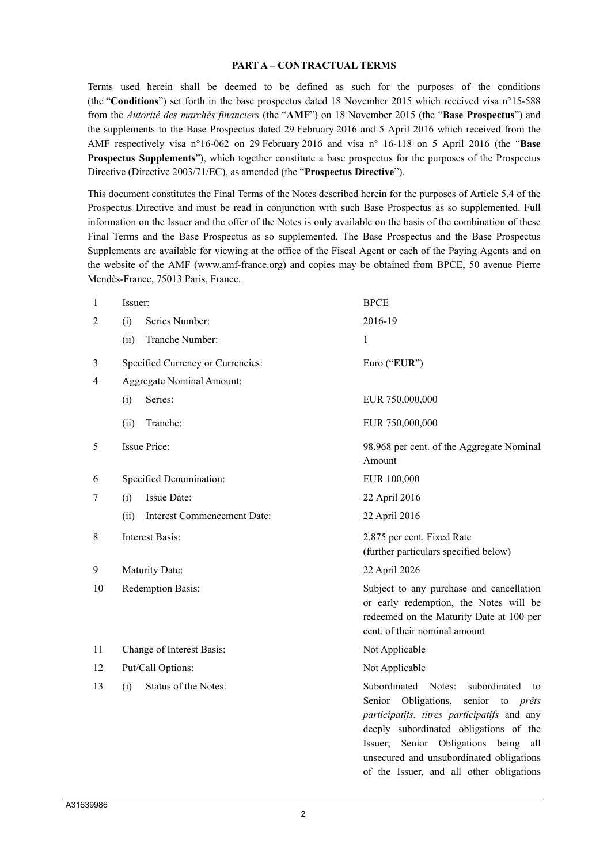#### **PART A – CONTRACTUAL TERMS**

Terms used herein shall be deemed to be defined as such for the purposes of the conditions (the "**Conditions**") set forth in the base prospectus dated 18 November 2015 which received visa n°15-588 from the *Autorité des marchés financiers* (the "**AMF**") on 18 November 2015 (the "**Base Prospectus**") and the supplements to the Base Prospectus dated 29 February 2016 and 5 April 2016 which received from the AMF respectively visa n°16-062 on 29 February 2016 and visa n° 16-118 on 5 April 2016 (the "**Base Prospectus Supplements**"), which together constitute a base prospectus for the purposes of the Prospectus Directive (Directive 2003/71/EC), as amended (the "**Prospectus Directive**").

This document constitutes the Final Terms of the Notes described herein for the purposes of Article 5.4 of the Prospectus Directive and must be read in conjunction with such Base Prospectus as so supplemented. Full information on the Issuer and the offer of the Notes is only available on the basis of the combination of these Final Terms and the Base Prospectus as so supplemented. The Base Prospectus and the Base Prospectus Supplements are available for viewing at the office of the Fiscal Agent or each of the Paying Agents and on the website of the AMF (www.amf-france.org) and copies may be obtained from BPCE, 50 avenue Pierre Mendès-France, 75013 Paris, France.

| 1              | Issuer:                                    | <b>BPCE</b>                                                                                                                                                                                                                                                                                                                     |  |  |
|----------------|--------------------------------------------|---------------------------------------------------------------------------------------------------------------------------------------------------------------------------------------------------------------------------------------------------------------------------------------------------------------------------------|--|--|
| 2              | Series Number:<br>(i)                      | 2016-19                                                                                                                                                                                                                                                                                                                         |  |  |
|                | Tranche Number:<br>(ii)                    | 1                                                                                                                                                                                                                                                                                                                               |  |  |
| 3              | Specified Currency or Currencies:          | Euro ("EUR")                                                                                                                                                                                                                                                                                                                    |  |  |
| $\overline{4}$ | <b>Aggregate Nominal Amount:</b>           |                                                                                                                                                                                                                                                                                                                                 |  |  |
|                | Series:<br>(i)                             | EUR 750,000,000                                                                                                                                                                                                                                                                                                                 |  |  |
|                | Tranche:<br>(ii)                           | EUR 750,000,000                                                                                                                                                                                                                                                                                                                 |  |  |
| 5              | <b>Issue Price:</b>                        | 98.968 per cent. of the Aggregate Nominal<br>Amount                                                                                                                                                                                                                                                                             |  |  |
| 6              | Specified Denomination:                    | EUR 100,000                                                                                                                                                                                                                                                                                                                     |  |  |
| 7              | Issue Date:<br>(i)                         | 22 April 2016                                                                                                                                                                                                                                                                                                                   |  |  |
|                | (ii)<br><b>Interest Commencement Date:</b> | 22 April 2016                                                                                                                                                                                                                                                                                                                   |  |  |
| 8              | <b>Interest Basis:</b>                     | 2.875 per cent. Fixed Rate<br>(further particulars specified below)                                                                                                                                                                                                                                                             |  |  |
| 9              | Maturity Date:                             | 22 April 2026                                                                                                                                                                                                                                                                                                                   |  |  |
| 10             | Redemption Basis:                          | Subject to any purchase and cancellation<br>or early redemption, the Notes will be<br>redeemed on the Maturity Date at 100 per<br>cent. of their nominal amount                                                                                                                                                                 |  |  |
| 11             | Change of Interest Basis:                  | Not Applicable                                                                                                                                                                                                                                                                                                                  |  |  |
| 12             | Put/Call Options:                          | Not Applicable                                                                                                                                                                                                                                                                                                                  |  |  |
| 13             | Status of the Notes:<br>(i)                | Subordinated<br>Notes:<br>subordinated<br>to<br>Senior<br>Obligations,<br>senior<br>to <i>prêts</i><br>participatifs, titres participatifs and any<br>deeply subordinated obligations of the<br>Issuer; Senior Obligations being<br>all<br>unsecured and unsubordinated obligations<br>of the Issuer, and all other obligations |  |  |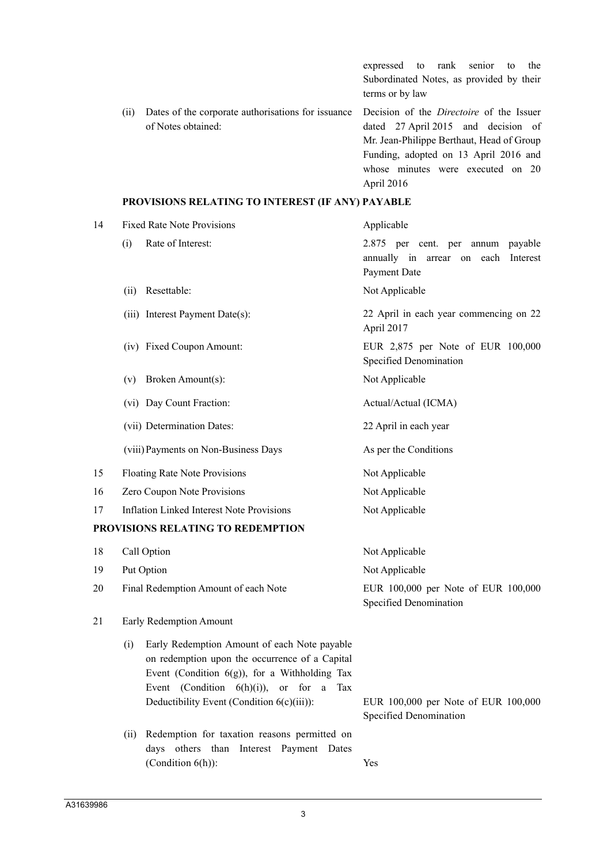expressed to rank senior to the Subordinated Notes, as provided by their terms or by law (ii) Dates of the corporate authorisations for issuance of Notes obtained: Decision of the *Directoire* of the Issuer dated 27 April 2015 and decision of Mr. Jean-Philippe Berthaut, Head of Group Funding, adopted on 13 April 2016 and whose minutes were executed on 20 April 2016

## **PROVISIONS RELATING TO INTEREST (IF ANY) PAYABLE**

| 14 | <b>Fixed Rate Note Provisions</b>                                                                                                                                                                                                                        | Applicable                                                                                  |  |  |  |
|----|----------------------------------------------------------------------------------------------------------------------------------------------------------------------------------------------------------------------------------------------------------|---------------------------------------------------------------------------------------------|--|--|--|
|    | Rate of Interest:<br>(i)                                                                                                                                                                                                                                 | 2.875 per cent. per annum payable<br>annually in arrear on each<br>Interest<br>Payment Date |  |  |  |
|    | Resettable:<br>(ii)                                                                                                                                                                                                                                      | Not Applicable                                                                              |  |  |  |
|    | (iii) Interest Payment Date(s):                                                                                                                                                                                                                          | 22 April in each year commencing on 22<br>April 2017                                        |  |  |  |
|    | (iv) Fixed Coupon Amount:                                                                                                                                                                                                                                | EUR 2,875 per Note of EUR 100,000<br>Specified Denomination                                 |  |  |  |
|    | Broken Amount(s):<br>(v)                                                                                                                                                                                                                                 | Not Applicable                                                                              |  |  |  |
|    | (vi) Day Count Fraction:                                                                                                                                                                                                                                 | Actual/Actual (ICMA)                                                                        |  |  |  |
|    | (vii) Determination Dates:                                                                                                                                                                                                                               | 22 April in each year                                                                       |  |  |  |
|    | (viii) Payments on Non-Business Days                                                                                                                                                                                                                     | As per the Conditions                                                                       |  |  |  |
| 15 | Floating Rate Note Provisions                                                                                                                                                                                                                            | Not Applicable                                                                              |  |  |  |
| 16 | Zero Coupon Note Provisions                                                                                                                                                                                                                              | Not Applicable                                                                              |  |  |  |
| 17 | <b>Inflation Linked Interest Note Provisions</b>                                                                                                                                                                                                         | Not Applicable                                                                              |  |  |  |
|    | PROVISIONS RELATING TO REDEMPTION                                                                                                                                                                                                                        |                                                                                             |  |  |  |
| 18 | Call Option                                                                                                                                                                                                                                              | Not Applicable                                                                              |  |  |  |
| 19 | Put Option                                                                                                                                                                                                                                               | Not Applicable                                                                              |  |  |  |
| 20 | Final Redemption Amount of each Note                                                                                                                                                                                                                     | EUR 100,000 per Note of EUR 100,000<br>Specified Denomination                               |  |  |  |
| 21 | Early Redemption Amount                                                                                                                                                                                                                                  |                                                                                             |  |  |  |
|    | Early Redemption Amount of each Note payable<br>(i)<br>on redemption upon the occurrence of a Capital<br>Event (Condition $6(g)$ ), for a Withholding Tax<br>Event (Condition $6(h)(i)$ ), or for a<br>Tax<br>Deductibility Event (Condition 6(c)(iii)): | EUR 100,000 per Note of EUR 100,000                                                         |  |  |  |
|    |                                                                                                                                                                                                                                                          | <b>Specified Denomination</b>                                                               |  |  |  |
|    | Redemption for taxation reasons permitted on<br>(ii)<br>days others than Interest Payment Dates<br>(Condition $6(h)$ ):                                                                                                                                  | Yes                                                                                         |  |  |  |
|    |                                                                                                                                                                                                                                                          |                                                                                             |  |  |  |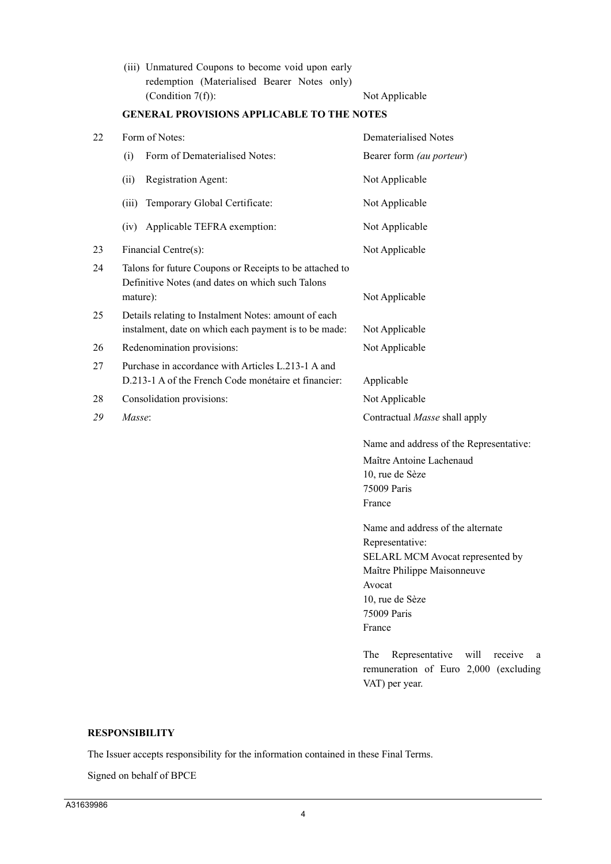|                      | (iii) Unmatured Coupons to become void upon early |  |  |  |
|----------------------|---------------------------------------------------|--|--|--|
|                      | redemption (Materialised Bearer Notes only)       |  |  |  |
| (Condition $7(f)$ ): |                                                   |  |  |  |

Not Applicable

| 22 | Form of Notes:                                                                                                          | <b>Dematerialised Notes</b>                                                                       |  |  |
|----|-------------------------------------------------------------------------------------------------------------------------|---------------------------------------------------------------------------------------------------|--|--|
|    | Form of Dematerialised Notes:<br>(i)                                                                                    | Bearer form (au porteur)                                                                          |  |  |
|    | Registration Agent:<br>(ii)                                                                                             | Not Applicable                                                                                    |  |  |
|    | Temporary Global Certificate:<br>(iii)                                                                                  | Not Applicable                                                                                    |  |  |
|    | Applicable TEFRA exemption:<br>(iv)                                                                                     | Not Applicable                                                                                    |  |  |
| 23 | Financial Centre(s):                                                                                                    | Not Applicable                                                                                    |  |  |
| 24 | Talons for future Coupons or Receipts to be attached to<br>Definitive Notes (and dates on which such Talons<br>mature): | Not Applicable                                                                                    |  |  |
| 25 | Details relating to Instalment Notes: amount of each<br>instalment, date on which each payment is to be made:           | Not Applicable                                                                                    |  |  |
| 26 | Redenomination provisions:                                                                                              | Not Applicable                                                                                    |  |  |
| 27 | Purchase in accordance with Articles L.213-1 A and<br>D.213-1 A of the French Code monétaire et financier:              | Applicable                                                                                        |  |  |
| 28 | Consolidation provisions:                                                                                               | Not Applicable                                                                                    |  |  |
| 29 | Masse:                                                                                                                  | Contractual Masse shall apply                                                                     |  |  |
|    |                                                                                                                         | Name and address of the Representative:                                                           |  |  |
|    |                                                                                                                         | Maître Antoine Lachenaud                                                                          |  |  |
|    |                                                                                                                         | 10, rue de Sèze                                                                                   |  |  |
|    |                                                                                                                         | 75009 Paris                                                                                       |  |  |
|    |                                                                                                                         | France                                                                                            |  |  |
|    |                                                                                                                         | Name and address of the alternate                                                                 |  |  |
|    |                                                                                                                         | Representative:                                                                                   |  |  |
|    |                                                                                                                         | SELARL MCM Avocat represented by                                                                  |  |  |
|    |                                                                                                                         | Maître Philippe Maisonneuve                                                                       |  |  |
|    |                                                                                                                         | Avocat                                                                                            |  |  |
|    |                                                                                                                         | 10, rue de Sèze                                                                                   |  |  |
|    |                                                                                                                         | 75009 Paris                                                                                       |  |  |
|    |                                                                                                                         | France                                                                                            |  |  |
|    |                                                                                                                         | Representative<br>The<br>will<br>receive<br><sub>a</sub><br>remuneration of Euro 2,000 (excluding |  |  |
|    |                                                                                                                         | VAT) per year.                                                                                    |  |  |

## **GENERAL PROVISIONS APPLICABLE TO THE NOTES**

## **RESPONSIBILITY**

The Issuer accepts responsibility for the information contained in these Final Terms.

Signed on behalf of BPCE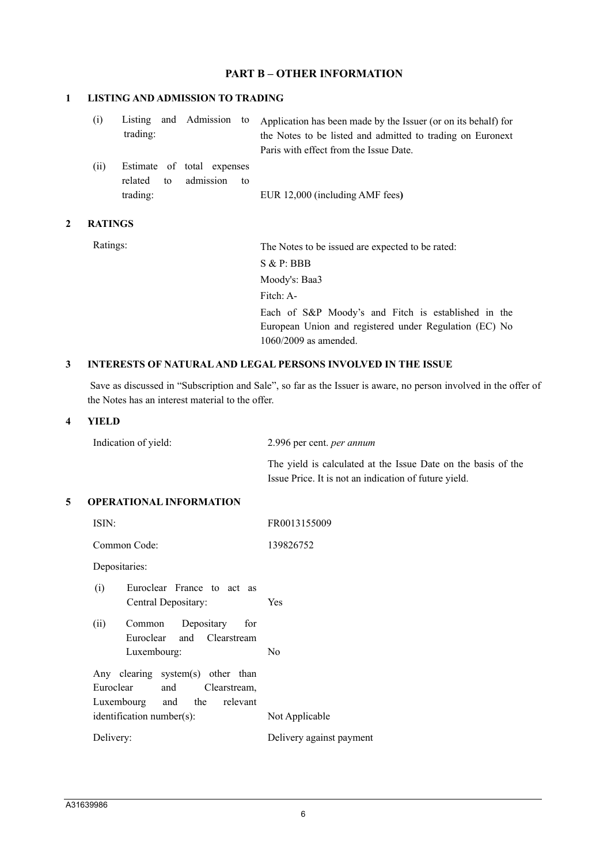# **PART B – OTHER INFORMATION**

#### **1 LISTING AND ADMISSION TO TRADING**

| (i) |          |  | Listing and Admission to Application has been made by the Issuer (or on its behalf) for |
|-----|----------|--|-----------------------------------------------------------------------------------------|
|     | trading: |  | the Notes to be listed and admitted to trading on Euronext                              |
|     |          |  | Paris with effect from the Issue Date.                                                  |
|     |          |  |                                                                                         |

(ii) Estimate of total expenses related to admission to trading: EUR 12,000 (including AMF fees**)**

## **2 RATINGS**

Ratings: The Notes to be issued are expected to be rated: S & P: BBB Moody's: Baa3 Fitch: A-Each of S&P Moody's and Fitch is established in the European Union and registered under Regulation (EC) No 1060/2009 as amended.

## **3 INTERESTS OF NATURAL AND LEGAL PERSONS INVOLVED IN THE ISSUE**

Save as discussed in "Subscription and Sale", so far as the Issuer is aware, no person involved in the offer of the Notes has an interest material to the offer.

## **4 YIELD**

| Indication of yield: | 2.996 per cent. <i>per annum</i> |
|----------------------|----------------------------------|
|----------------------|----------------------------------|

The yield is calculated at the Issue Date on the basis of the Issue Price. It is not an indication of future yield.

## **5 OPERATIONAL INFORMATION**

| ISIN:                                                                                          | FR0013155009             |
|------------------------------------------------------------------------------------------------|--------------------------|
| Common Code:                                                                                   | 139826752                |
| Depositaries:                                                                                  |                          |
| Euroclear France to act as<br>(i)<br>Central Depositary:                                       | Yes                      |
| (ii)<br>Common Depositary<br>for<br>Euroclear and Clearstream<br>Luxembourg:                   | No                       |
| Any clearing system(s) other than<br>Euroclear and Clearstream,<br>Luxembourg and the relevant |                          |
| identification number(s):                                                                      | Not Applicable           |
| Delivery:                                                                                      | Delivery against payment |